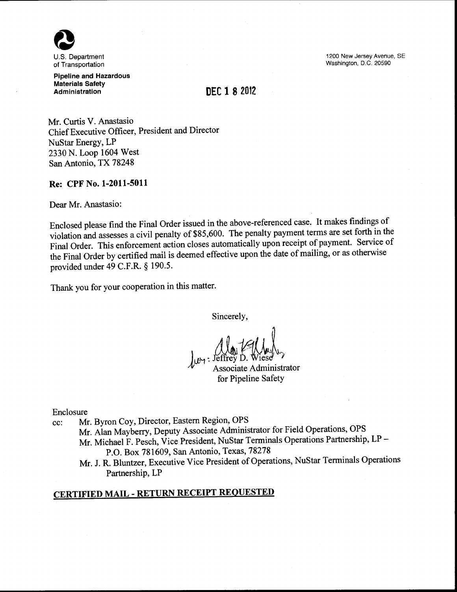

U.S. Department of Transportation

Pipeline and Hazardous Materials Safety Administration

1200 New Jersey Avenue, SE Washington, D.C. 20590

## **DEC 1 8** 2012

Mr. Curtis V. Anastasio ChiefExecutive Officer, President and Director NuStar Energy, LP 2330 N. Loop 1604 West San Antonio, TX 78248

## Re: CPF No. 1-2011-5011

Dear Mr. Anastasio:

Enclosed please find the Final Order issued in the above-referenced case. It makes findings of violation and assesses a civil penalty of \$85,600. The penalty payment terms are set forth in the Final Order. This enforcement action closes automatically upon receipt of payment. Service of the Final Order by certified mail is deemed effective upon the date of mailing, or as otherwise provided under 49 C.F.R. § 190.5.

Thank you for your cooperation in this matter.

Sincerely,

Associate Administrator for Pipeline Safety

Enclosure

- cc: Mr. Byron Coy, Director, Eastern Region, OPS Mr. Alan Mayberry, Deputy Associate Administrator for Field Operations, OPS Mr. Michael F. Pesch, Vice President, NuStar Terminals Operations Partnership, LP-P.O. Box 781609, San Antonio, Texas, 78278
	- Mr. J. R. Bluntzer, Executive Vice President of Operations, NuStar Terminals Operations Partnership, LP

# CERTIFIED MAIL- RETURN RECEIPT REQUESTED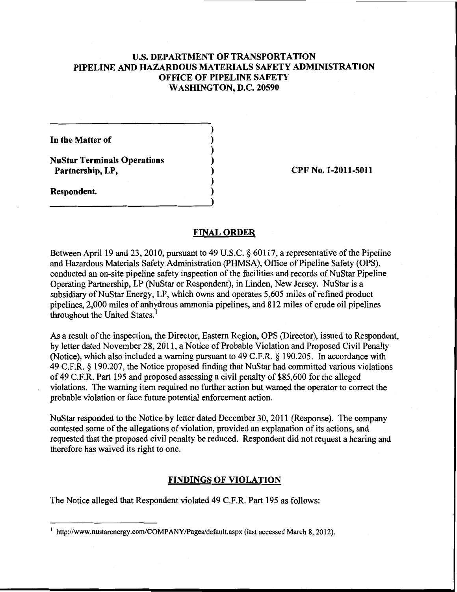## U.S. **DEPARTMENT OF TRANSPORTATION PIPELINE AND HAZARDOUS MATERIALS SAFETY ADMINISTRATION OFFICE OF PIPELINE SAFETY WASHINGTON, D.C. 20590**

) ) ) ) ) ) )

**In the Matter of** 

**NuStar Terminals Operations Partnership, LP,** 

**Respondent.** 

**CPF No. 1-2011-5011** 

#### **FINAL ORDER**

Between April 19 and 23, 2010, pursuant to 49 U.S.C. § 60117, a representative of the Pipeline and Hazardous Materials Safety Administration (PHMSA), Office of Pipeline Safety (OPS), conducted an on-site pipeline safety inspection of the facilities and records of NuStar Pipeline Operating Partnership, LP (NuStar or Respondent), in Linden, New Jersey. NuStar is a subsidiary of NuStar Energy, LP, which owns and operates 5,605 miles of refined product pipelines, 2,000 miles of anhydrous ammonia pipelines, and 812 miles of crude oil pipelines throughout the United States.<sup>1</sup>

As a result of the inspection, the Director, Eastern Region, OPS (Director), issued to Respondent, by letter dated November 28, 2011, a Notice of Probable Violation and Proposed Civil Penalty (Notice), which also included a warning pursuant to 49 C.F.R. § 190.205. In accordance with 49 C.F.R. § 190.207, the Notice proposed finding that NuStar had committed various violations of 49 C.F.R. Part 195 and proposed assessing a civil penalty of \$85,600 for the alleged violations. The warning item required no further action but warned the operator to correct the probable violation or face future potential enforcement action.

NuStar responded to the Notice by letter dated December 30, 2011 (Response). The company contested some of the allegations of violation, provided an explanation of its actions, and requested that the proposed civil penalty be reduced. Respondent did not request a hearing and therefore has waived its right to one.

### **FINDINGS OF VIOLATION**

The Notice alleged that Respondent violated 49 C.F.R. Part 195 as follows:

<sup>&</sup>lt;sup>1</sup> http://www.nustarenergy.com/COMPANY/Pages/default.aspx (last accessed March 8, 2012).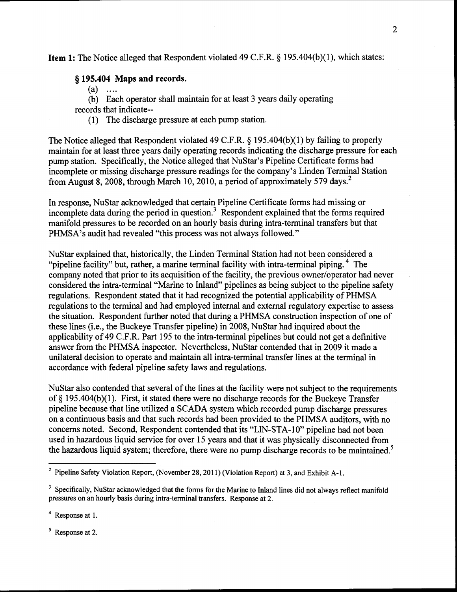## Item 1: The Notice alleged that Respondent violated 49 C.F.R. § 195.404(b)(1), which states:

## § 195.404 Maps and records.

- $(a)$  ....
- (b) Each operator shall maintain for at least 3 years daily operating

records that indicate--

(1) The discharge pressure at each pump station.

The Notice alleged that Respondent violated 49 C.F.R. § 195.404(b)(1) by failing to properly maintain for at least three years daily operating records indicating the discharge pressure for each pump station. Specifically, the Notice alleged that NuStar's Pipeline Certificate forms had incomplete or missing discharge pressure readings for the company's Linden Terminal Station from August 8, 2008, through March 10, 2010, a period of approximately 579 days.<sup>2</sup>

In response, NuStar acknowledged that certain Pipeline Certificate forms had missing or incomplete data during the period in question.<sup>3</sup> Respondent explained that the forms required manifold pressures to be recorded on an hourly basis during intra-terminal transfers but that PHMSA's audit had revealed "this process was not always followed."

NuStar explained that, historically, the Linden Terminal Station had not been considered a "pipeline facility" but, rather, a marine terminal facility with intra-terminal piping.  $4$  The company noted that prior to its acquisition of the facility, the previous owner/operator had never considered the intra-terminal "Marine to Inland" pipelines as being subject to the pipeline safety regulations. Respondent stated that it had recognized the potential applicability of PHMSA regulations to the terminal and had employed internal and external regulatory expertise to assess the situation. Respondent further noted that during a PHMSA construction inspection of one of these lines (i.e., the Buckeye Transfer pipeline) in 2008, NuStar had inquired about the applicability of 49 C.F.R. Part 195 to the intra-terminal pipelines but could not get a definitive answer from the PHMSA inspector. Nevertheless, NuStar contended that in 2009 it made a unilateral decision to operate and maintain all intra-terminal transfer lines at the terminal in accordance with federal pipeline safety laws and regulations.

NuStar also contended that several of the lines at the facility were not subject to the requirements of§ 195.404(b)(1). First, it stated there were no discharge records for the Buckeye Transfer pipeline because that line utilized a SCADA system which recorded pump discharge pressures on a continuous basis and that such records had been provided to the PHMSA auditors, with no concerns noted. Second, Respondent contended that its "LlN-STA-1 0" pipeline had not been used in hazardous liquid service for over 15 years and that it was physically disconnected from the hazardous liquid system; therefore, there were no pump discharge records to be maintained.<sup>5</sup>

Response at 1.

<sup>5</sup> Response at 2.

<sup>&</sup>lt;sup>2</sup> Pipeline Safety Violation Report, (November 28, 2011) (Violation Report) at 3, and Exhibit A-1.

<sup>&</sup>lt;sup>3</sup> Specifically, NuStar acknowledged that the forms for the Marine to Inland lines did not always reflect manifold pressures on an hourly basis during intra-terminal transfers. Response at 2.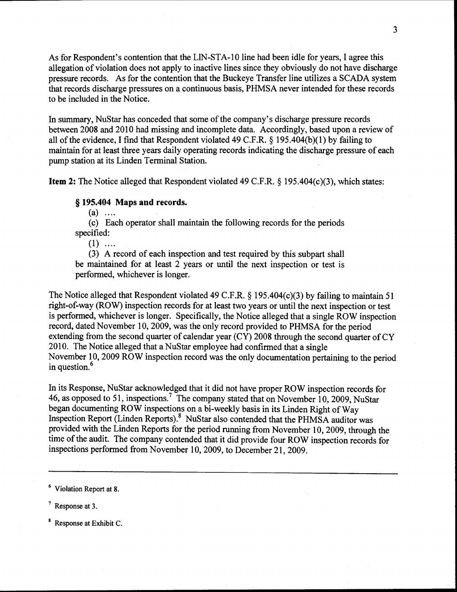As for Respondent's contention that the LIN-STA-10 line had been idle for years, I agree this allegation of violation does not apply to inactive lines since they obviously do not have discharge pressure records. As for the contention that the Buckeye Transfer line utilizes a SCADA system that records discharge pressures on a continuous basis, PHMSA never intended for these records to be included in the Notice.

In summary, NuStar has conceded that some of the company's discharge pressure records between 2008 and 2010 had missing and incomplete data. Accordingly, based upon a review of all of the evidence, I find that Respondent violated 49 C.F.R.  $\S$  195.404(b)(1) by failing to maintain for at least three years daily operating records indicating the discharge pressure of each pump station at its Linden Terminal Station.

Item 2: The Notice alleged that Respondent violated 49 C.F.R. § 195.404(c)(3), which states:

## § **195.404** Maps **and** records.

 $(a)$  ....

(c) Each operator shall maintain the following records for the periods specified:

 $(1)$  ....

(3) A record of each inspection and test required by this subpart shall be maintained for at least 2 years or until the next inspection or test is performed, whichever is longer.

The Notice alleged that Respondent violated 49 C.F.R. § 195.404(c)(3) by failing to maintain 51 right-of-way (ROW) inspection records for at least two years or until the next inspection or test is performed, whichever is longer. Specifically, the Notice alleged that a single ROW inspection record, dated November 10, 2009, was the only record provided to PHMSA for the period extending from the second quarter of calendar year (CY) 2008 through the second quarter of CY 2010. The Notice alleged that a NuStar employee had confirmed that a single November 10, 2009 ROW inspection record was the only documentation pertaining to the period in question.<sup>6</sup>

In its Response, NuStar acknowledged that it did not have proper ROW inspection records for 46, as opposed to 51, inspections.<sup>7</sup> The company stated that on November 10, 2009, NuStar began documenting ROW inspections on a bi-weekly basis in its Linden Right of Way Inspection Report (Linden Reports).<sup>8</sup> NuStar also contended that the PHMSA auditor was provided with the Linden Reports for the period running from November 10, 2009, through the time of the audit. The company contended that it did provide four ROW inspection records for inspections performed from November 10, 2009, to December 21, 2009.

<sup>&</sup>lt;sup>6</sup> Violation Report at 8.

 $<sup>7</sup>$  Response at 3.</sup>

<sup>8</sup> Response at Exhibit C.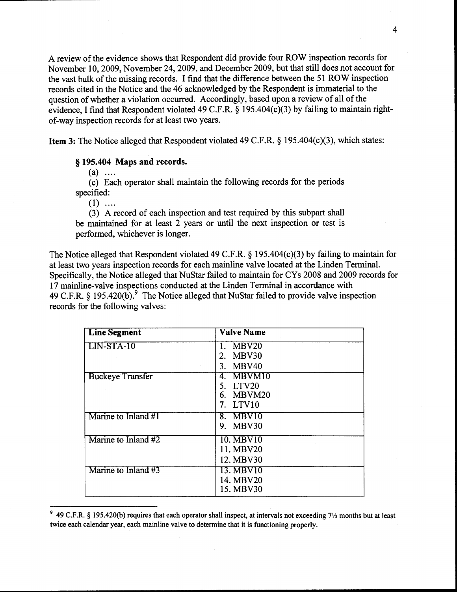A review of the evidence shows that Respondent did provide four ROW inspection records for November 10, 2009, November 24, 2009, and December 2009, but that still does not account for the vast bulk of the missing records. I find that the difference between the 51 ROW inspection records cited in the Notice and the 46 acknowledged by the Respondent is immaterial to the question of whether a violation occurred. Accordingly, based upon a review of all of the evidence, I find that Respondent violated 49 C.F.R. § 195.404(c)(3) by failing to maintain rightof-way inspection records for at least two years.

Item 3: The Notice alleged that Respondent violated 49 C.F.R. § 195.404(c)(3), which states:

## § 195.404 Maps and records.

 $(a)$  ....

(c) Each operator shall maintain the following records for the periods specified:

 $(1)$  ....

(3) A record of each inspection and test required by this subpart shall be maintained for at least 2 years or until the next inspection or test is performed, whichever is longer.

The Notice alleged that Respondent violated 49 C.F.R. § 195.404(c)(3) by failing to maintain for at least two years inspection records for each mainline valve located at the Linden Terminal. Specifically, the Notice alleged that NuStar failed to maintain for CYs 2008 and 2009 records for 17 mainline-valve inspections conducted at the Linden Terminal in accordance with 49 C.F.R.  $\oint$  195.420(b).<sup>9</sup> The Notice alleged that NuStar failed to provide valve inspection records for the following valves:

| <b>Line Segment</b>     | <b>Valve Name</b> |
|-------------------------|-------------------|
| $LIN-STA-10$            | MBV <sub>20</sub> |
|                         | MBV30<br>2.       |
|                         | MBV40<br>3.       |
| <b>Buckeye Transfer</b> | 4. MBVM10         |
|                         | LTV20<br>5.       |
|                         | 6. MBVM20         |
|                         | LTV10<br>7.       |
| Marine to Inland $#1$   | 8. MBV10          |
|                         | 9. MBV30          |
| Marine to Inland #2     | 10. MBV10         |
|                         | 11. MBV20         |
|                         | 12. MBV30         |
| Marine to Inland #3     | 13. MBV10         |
|                         | 14. MBV20         |
|                         | 15. MBV30         |

<sup>&</sup>lt;sup>9</sup> 49 C.F.R. § 195.420(b) requires that each operator shall inspect, at intervals not exceeding  $7\frac{1}{2}$  months but at least twice each calendar year, each mainline valve to determine that it is functioning properly.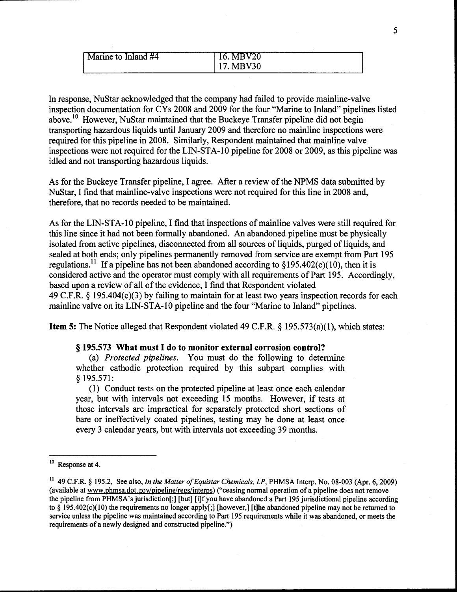| larine to Inland #4 | 20.       |
|---------------------|-----------|
|                     | '30<br>л. |

In response, NuStar acknowledged that the company had failed to provide mainline-valve inspection documentation for CYs 2008 and 2009 for the four "Marine to Inland" pipelines listed above.<sup>10</sup> However, NuStar maintained that the Buckeye Transfer pipeline did not begin transporting hazardous liquids until January 2009 and therefore no mainline inspections were required for this pipeline in 2008. Similarly, Respondent maintained that mainline valve inspections were not required for the LIN-STA-10 pipeline for 2008 or 2009, as this pipeline was idled and not transporting hazardous liquids.

As for the Buckeye Transfer pipeline, I agree. After a review of the NPMS data submitted by NuStar, I find that mainline-valve inspections were not required for this line in 2008 and, therefore, that no records needed to be maintained.

As for the LIN-STA-10 pipeline, I find that inspections of mainline valves were still required for this line since it had not been formally abandoned. An abandoned pipeline must be physically isolated from active pipelines, disconnected from all sources of liquids, purged of liquids, and sealed at both ends; only pipelines permanently removed from service are exempt from Part 195 regulations.<sup>11</sup> If a pipeline has not been abandoned according to  $\S 195.402(c)(10)$ , then it is considered active and the operator must comply with all requirements of Part 195. Accordingly, based upon a review of all of the evidence, I find that Respondent violated 49 C.F.R. § 195.404(c)(3) by failing to maintain for at least two years inspection records for each mainline valve on its LIN-STA-10 pipeline and the four "Marine to Inland" pipelines.

**Item 5:** The Notice alleged that Respondent violated 49 C.F.R. § 195.573(a)(1), which states:

#### § **195.573 What must I do to monitor external corrosion control?**

(a) *Protected pipelines.* You must do the following to determine whether cathodic protection required by this subpart complies with § 195.571:

(1) Conduct tests on the protected pipeline at least once each calendar year, but with intervals not exceeding 15 months. However, if tests at those intervals are impractical for separately protected short sections of bare or ineffectively coated pipelines, testing may be done at least once every 3 calendar years, but with intervals not exceeding 39 months.

<sup>10</sup> Response at 4.

<sup>&</sup>lt;sup>11</sup> 49 C.F.R. § 195.2, See also, *In the Matter of Equistar Chemicals, LP*, PHMSA Interp. No. 08-003 (Apr. 6, 2009) (available at www.phmsa.dot.gov/pipeline/regs/interps) ("ceasing normal operation of a pipeline does not remove the pipeline from PHMSA'sjurisdiction[;] [but] [i]fyou have abandoned a Part 195 jurisdictional pipeline according to§ 195.402(c)(10) the requirements no longer apply[;] [however,] [t]he abandoned pipeline may not be returned to service unless the pipeline was maintained according to Part 195 requirements while it was abandoned, or meets the requirements of a newly designed and constructed pipeline.")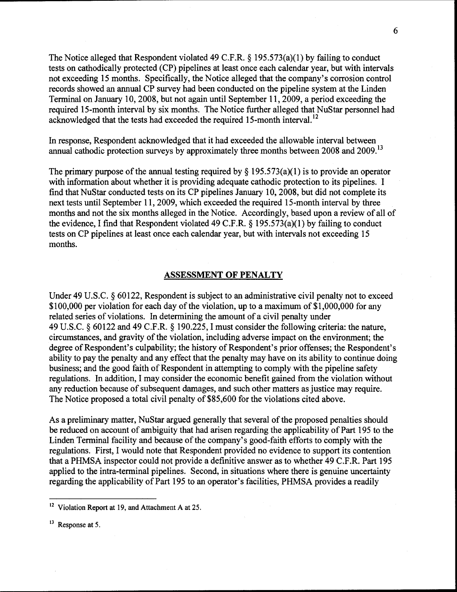The Notice alleged that Respondent violated 49 C.F.R.  $\S$  195.573(a)(1) by failing to conduct tests on cathodically protected (CP) pipelines at least once each calendar year, but with intervals not exceeding 15 months. Specifically, the Notice alleged that the company's corrosion control records showed an annual CP survey had been conducted on the pipeline system at the Linden Terminal on January 10, 2008, but not again until September 11, 2009, a period exceeding the required 15-month interval by six months. The Notice further alleged that NuStar personnel had acknowledged that the tests had exceeded the required 15-month interval.<sup>12</sup>

In response, Respondent acknowledged that it had exceeded the allowable interval between annual cathodic protection surveys by approximately three months between 2008 and 2009.<sup>13</sup>

The primary purpose of the annual testing required by  $\S$  195.573(a)(1) is to provide an operator with information about whether it is providing adequate cathodic protection to its pipelines. I find that NuStar conducted tests on its CP pipelines January 10, 2008, but did not complete its next tests until September 11, 2009, which exceeded the required 15-month interval by three months and not the six months alleged in the Notice. Accordingly, based upon a review of all of the evidence, I find that Respondent violated 49 C.F.R.  $\S$  195.573(a)(1) by failing to conduct tests on CP pipelines at least once each calendar year, but with intervals not exceeding 15 months.

#### ASSESSMENT OF PENALTY

Under 49 U.S.C. § 60122, Respondent is subject to an administrative civil penalty not to exceed \$100,000 per violation for each day of the violation, up to a maximum of \$1,000,000 for any related series of violations. In determining the amount of a civil penalty under 49 U.S.C. § 60122 and 49 C.P.R. § 190.225, I must consider the following criteria: the nature, circumstances, and gravity of the violation, including adverse impact on the environment; the degree of Respondent's culpability; the history of Respondent's prior offenses; the Respondent's ability to pay the penalty and any effect that the penalty may have on its ability to continue doing business; and the good faith of Respondent in attempting to comply with the pipeline safety regulations. In addition, I may consider the economic benefit gained from the violation without any reduction because of subsequent damages, and such other matters as justice may require. The Notice proposed a total civil penalty of \$85,600 for the violations cited above.

As a preliminary matter, NuStar argued generally that several of the proposed penalties should be reduced on account of ambiguity that had arisen regarding the applicability of Part 195 to the Linden Terminal facility and because of the company's good-faith efforts to comply with the regulations. First, I would note that Respondent provided no evidence to support its contention that a PHMSA inspector could not provide a definitive answer as to whether 49 C.P.R. Part 195 applied to the intra-terminal pipelines. Second, in situations where there is genuine uncertainty regarding the applicability of Part 195 to an operator's facilities, PHMSA provides a readily

<sup>&</sup>lt;sup>12</sup> Violation Report at 19, and Attachment A at 25.

<sup>&</sup>lt;sup>13</sup> Response at 5.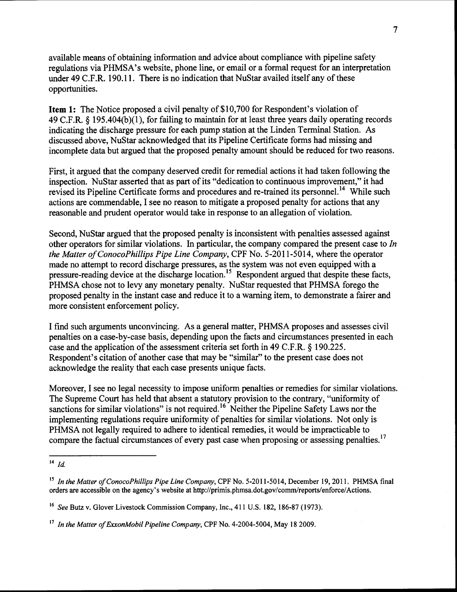available means of obtaining information and advice about compliance with pipeline safety regulations via PHMSA's website, phone line, or email or a formal request for an interpretation under 49 C.F.R. 190.11. There is no indication that NuStar availed itself any of these opportunities.

**Item 1:** The Notice proposed a civil penalty of \$10,700 for Respondent's violation of 49 C.F.R. § 195.404(b)(1), for failing to maintain for at least three years daily operating records indicating the discharge pressure for each pump station at the Linden Terminal Station. As discussed above, NuStar acknowledged that its Pipeline Certificate forms had missing and incomplete data but argued that the proposed penalty amount should be reduced for two reasons.

First, it argued that the company deserved credit for remedial actions it had taken following the inspection. NuStar asserted that as part of its "dedication to continuous improvement," it had revised its Pipeline Certificate forms and procedures and re-trained its personnel.<sup>14</sup> While such actions are commendable, I see no reason to mitigate a proposed penalty for actions that any reasonable and prudent operator would take in response to an allegation of violation.

Second, NuStar argued that the proposed penalty is inconsistent with penalties assessed against other operators for similar violations. In particular, the company compared the present case to *In the Matter ofConocoPhillips Pipe Line Company,* CPF No. 5-2011-5014, where the operator made no attempt to record discharge pressures, as the system was not even equipped with a pressure-reading device at the discharge location.<sup>15</sup> Respondent argued that despite these facts, PHMSA chose not to levy any monetary penalty. NuStar requested that PHMSA forego the proposed penalty in the instant case and reduce it to a warning item, to demonstrate a fairer and more consistent enforcement policy.

I find such arguments unconvincing. As a general matter, PHMSA proposes and assesses civil penalties on a case-by-case basis, depending upon the facts and circumstances presented in each case and the application of the assessment criteria set forth in 49 C.F.R. § 190.225. Respondent's citation of another case that may be "similar" to the present case does not acknowledge the reality that each case presents unique facts.

Moreover, I see no legal necessity to impose uniform penalties or remedies for similar violations. The Supreme Court has held that absent a statutory provision to the contrary, "uniformity of sanctions for similar violations" is not required.  $16\text{$  Neither the Pipeline Safety Laws nor the implementing regulations require uniformity of penalties for similar violations. Not only is PHMSA not legally required to adhere to identical remedies, it would be impracticable to compare the factual circumstances of every past case when proposing or assessing penalties.<sup>17</sup>

 $\frac{14}{14}$  *Id.* 

<sup>&</sup>lt;sup>15</sup> In the Matter of ConocoPhillips Pipe Line Company, CPF No. 5-2011-5014, December 19, 2011. PHMSA final orders are accessible on the agency's website at http://primis.phmsa.dot.gov/comm/reports/enforce/Actions.

<sup>16</sup>*See* Butz v. Glover Livestock Commission Company, Inc., 411 U.S. 182, 186-87 (1973).

<sup>&</sup>lt;sup>17</sup> In the Matter of ExxonMobil Pipeline Company, CPF No. 4-2004-5004, May 18 2009.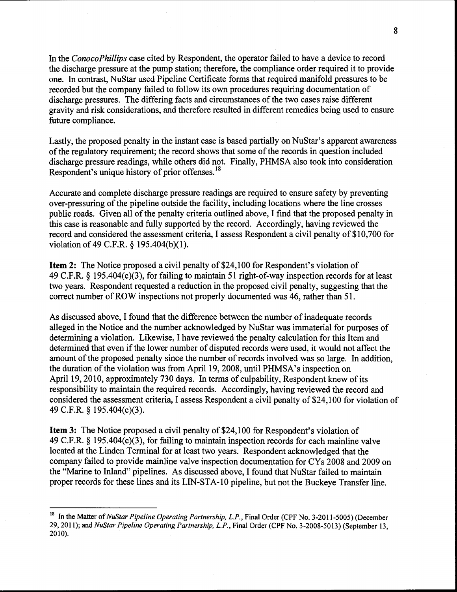In the *ConocoPhillips* case cited by Respondent, the operator failed to have a device to record the discharge pressure at the pump station; therefore, the compliance order required it to provide one. In contrast, NuStar used Pipeline Certificate forms that required manifold pressures to be recorded but the company failed to follow its own procedures requiring documentation of discharge pressures. The differing facts and circumstances of the two cases raise different gravity and risk considerations, and therefore resulted in different remedies being used to ensure future compliance.

Lastly, the proposed penalty in the instant case is based partially on NuStar's apparent awareness of the regulatory requirement; the record shows that some of the records in question included discharge pressure readings, while others did not. Finally, PHMSA also took into consideration Respondent's unique history of prior offenses. <sup>18</sup>

Accurate and complete discharge pressure readings are required to ensure safety by preventing over-pressuring of the pipeline outside the facility, including locations where the line crosses public roads. Given all of the penalty criteria outlined above, I find that the proposed penalty in this case is reasonable and fully supported by the record. Accordingly, having reviewed the record and considered the assessment criteria, I assess Respondent a civil penalty of \$10,700 for violation of 49 C.F.R. § 195.404(b)(l).

**Item 2:** The Notice proposed a civil penalty of \$24,100 for Respondent's violation of 49 C.F.R. § 195.404(c)(3), for failing to maintain 51 right-of-way inspection records for at least two years. Respondent requested a reduction in the proposed civil penalty, suggesting that the correct number of ROW inspections not properly documented was 46, rather than 51.

As discussed above, I found that the difference between the number of inadequate records alleged in the Notice and the number acknowledged by NuStar was immaterial for purposes of determining a violation. Likewise, I have reviewed the penalty calculation for this Item and determined that even if the lower number of disputed records were used, it would not affect the amount of the proposed penalty since the number of records involved was so large. In addition, the duration of the violation was from April 19, 2008, until PHMSA's inspection on April 19, 2010, approximately 730 days. In terms of culpability, Respondent knew of its responsibility to maintain the required records. Accordingly, having reviewed the record and considered the assessment criteria, I assess Respondent a civil penalty of \$24,100 for violation of 49 C.F.R. § 195.404(c)(3).

**Item 3:** The Notice proposed a civil penalty of \$24,100 for Respondent's violation of 49 C.F.R. § 195.404(c)(3), for failing to maintain inspection records for each mainline valve located at the Linden Terminal for at least two years. Respondent acknowledged that the company failed to provide mainline valve inspection documentation for CYs 2008 and 2009 on the "Marine to Inland" pipelines. As discussed above, I found that NuStar failed to maintain proper records for these lines and its LIN-STA-10 pipeline, but not the Buckeye Transfer line.

<sup>&</sup>lt;sup>18</sup> In the Matter of *NuStar Pipeline Operating Partnership, L.P.*, Final Order (CPF No. 3-2011-5005) (December 29, 2011); and *NuStar Pipeline Operating Partnership, L.P.,* Final Order (CPF No. 3-2008-5013) (September 13, 2010).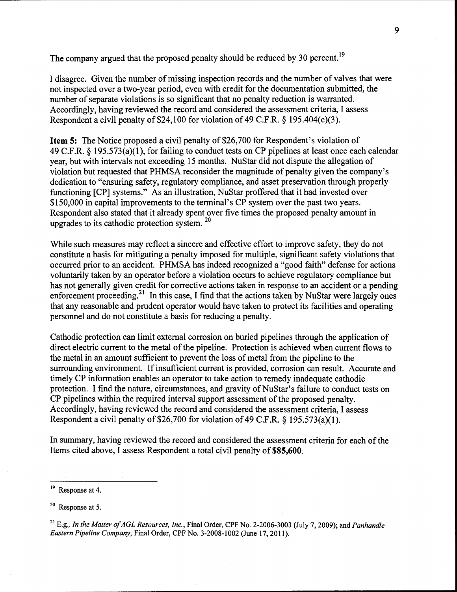The company argued that the proposed penalty should be reduced by 30 percent.<sup>19</sup>

I disagree. Given the number of missing inspection records and the number of valves that were not inspected over a two-year period, even with credit for the documentation submitted, the number of separate violations is so significant that no penalty reduction is warranted. Accordingly, having reviewed the record and considered the assessment criteria, I assess Respondent a civil penalty of \$24,100 for violation of 49 C.F.R.  $\S$  195.404(c)(3).

**Item 5:** The Notice proposed a civil penalty of \$26,700 for Respondent's violation of 49 C.F.R. § 195.573(a)(l), for failing to conduct tests on CP pipelines at least once each calendar year, but with intervals not exceeding 15 months. NuStar did not dispute the allegation of violation but requested that PHMSA reconsider the magnitude of penalty given the company's dedication to "ensuring safety, regulatory compliance, and asset preservation through properly functioning [CP] systems." As an illustration, NuStar proffered that it had invested over \$150,000 in capital improvements to the terminal's CP system over the past two years. Respondent also stated that it already spent over five times the proposed penalty amount in upgrades to its cathodic protection system. <sup>20</sup>

While such measures may reflect a sincere and effective effort to improve safety, they do not constitute a basis for mitigating a penalty imposed for multiple, significant safety violations that occurred prior to an accident. PHMSA has indeed recognized a "good faith" defense for actions voluntarily taken by an operator before a violation occurs to achieve regulatory compliance but has not generally given credit for corrective actions taken in response to an accident or a pending enforcement proceeding.<sup>21</sup> In this case, I find that the actions taken by NuStar were largely ones that any reasonable and prudent operator would have taken to protect its facilities and operating personnel and do not constitute a basis for reducing a penalty.

Cathodic protection can limit external corrosion on buried pipelines through the application of direct electric current to the metal of the pipeline. Protection is achieved when current flows to the metal in an amount sufficient to prevent the loss of metal from the pipeline to the surrounding environment. If insufficient current is provided, corrosion can result. Accurate and timely CP information enables an operator to take action to remedy inadequate cathodic protection. I find the nature, circumstances, and gravity of NuStar's failure to conduct tests on CP pipelines within the required interval support assessment of the proposed penalty. Accordingly, having reviewed the record and considered the assessment criteria, I assess Respondent a civil penalty of \$26,700 for violation of 49 C.F.R.  $\S$  195.573(a)(1).

In summary, having reviewed the record and considered the assessment criteria for each of the Items cited above, I assess Respondent a total civil penalty of **\$85,600.** 

<sup>&</sup>lt;sup>19</sup> Response at 4.

<sup>20</sup> Response at 5.

<sup>21</sup> E.g., *In the Matter of AGL Resources, Inc.,* Final Order, CPF No. 2-2006-3003 (July 7, 2009); and *Panhandle Eastern Pipeline Company,* Final Order, CPF No. 3-2008-1002 (June 17, 2011).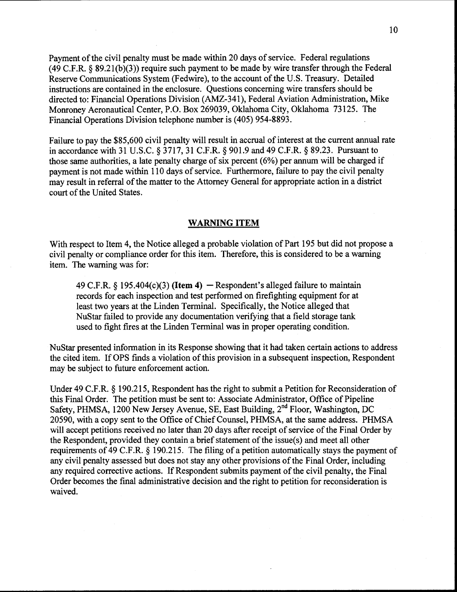10

Payment of the civil penalty must be made within 20 days of service. Federal regulations (49 C.P.R.§ 89.2l(b)(3)) require such payment to be made by wire transfer through the Federal Reserve Communications System (Fedwire), to the account of the U.S. Treasury. Detailed instructions are contained in the enclosure. Questions concerning wire transfers should be directed to: Financial Operations Division (AMZ-341), Federal Aviation Administration, Mike Monroney Aeronautical Center, P.O. Box 269039, Oklahoma City, Oklahoma 73125. The Financial Operations Division telephone number is (405) 954-8893.

Failure to pay the \$85,600 civil penalty will result in accrual of interest at the current annual rate in accordance with 31 U.S.C. § 3717, 31 C.P.R. § 901.9 and 49 C.P.R. § 89.23. Pursuant to those same authorities, a late penalty charge of six percent (6%) per annum will be charged if payment is not made within 110 days of service. Furthermore, failure to pay the civil penalty may result in referral of the matter to the Attorney General for appropriate action in a district court of the United States.

#### WARNING ITEM

With respect to Item 4, the Notice alleged a probable violation of Part 195 but did not propose a civil penalty or compliance order for this item. Therefore, this is considered to be a warning item. The warning was for:

49 C.F.R. § 195.404(c)(3) (Item 4) – Respondent's alleged failure to maintain records for each inspection and test performed on firefighting equipment for at least two years at the Linden Terminal. Specifically, the Notice alleged that NuStar failed to provide any documentation verifying that a field storage tank used to fight fires at the Linden Terminal was in proper operating condition.

NuStar presented information in its Response showing that it had taken certain actions to address the cited item. IfOPS finds a violation of this provision in a subsequent inspection, Respondent may be subject to future enforcement action.

Under 49 C.F.R. § 190.215, Respondent has the right to submit a Petition for Reconsideration of this Final Order. The petition must be sent to: Associate Administrator, Office of Pipeline Safety, PHMSA, 1200 New Jersey Avenue, SE, East Building, 2<sup>nd</sup> Floor, Washington, DC 20590, with a copy sent to the Office of Chief Counsel, PHMSA, at the same address. PHMSA will accept petitions received no later than 20 days after receipt of service of the Final Order by the Respondent, provided they contain a brief statement of the issue(s) and meet all other requirements of 49 C.F .R. § 190.215. The filing of a petition automatically stays the payment of any civil penalty assessed but does not stay any other provisions of the Final Order, including any required corrective actions. If Respondent submits payment of the civil penalty, the Final Order becomes the final administrative decision and the right to petition for reconsideration is waived.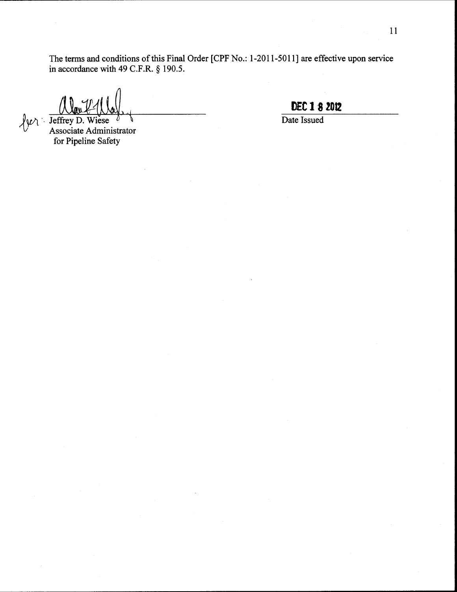The terms and conditions of this Final Order [CPF No.: 1-2011-5011] are effective upon service in accordance with 49 C.F.R. § 190.5.

 $\sqrt{\mu}$  Jeffrey D. Wiese l *1)* Associate Administrator for Pipeline Safety

**D£C 1 ·8 Z012** 

Date Issued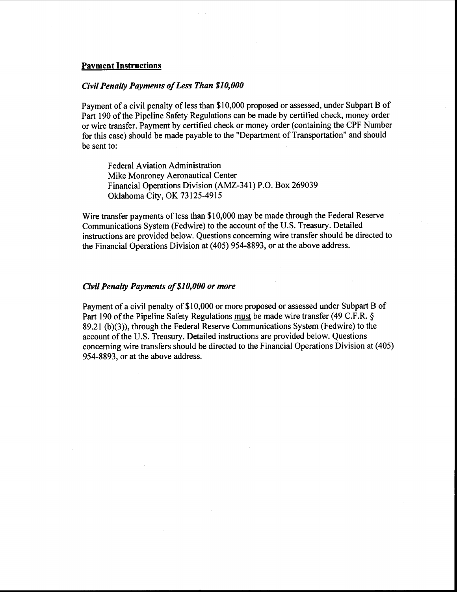#### Payment Instructions

#### *Civil Penalty Payments of Less Than \$10,000*

Payment of a civil penalty of less than \$10,000 proposed or assessed, under Subpart B of Part 190 of the Pipeline Safety Regulations can be made by certified check, money order or wire transfer. Payment by certified check or money order (containing the CPF Number for this case) should be made payable to the "Department of Transportation" and should be sent to:

Federal Aviation Administration Mike Monroney Aeronautical Center Financial Operations Division (AMZ-341) P.O. Box 269039 Oklahoma City, OK 73125-4915

Wire transfer payments of less than \$10,000 may be made through the Federal Reserve Communications System (Fedwire) to the account of the U.S. Treasury. Detailed instructions are provided below. Questions concerning wire transfer should be directed to the Financial Operations Division at (405) 954-8893, or at the above address.

## *Civil Penalty Payments of \$10,000 or more*

Payment of a civil penalty of \$10,000 or more proposed or assessed under Subpart B of Part 190 of the Pipeline Safety Regulations must be made wire transfer (49 C.F.R. § 89.21 (b)(3)), through the Federal Reserve Communications System (Fedwire) to the account of the U.S. Treasury. Detailed instructions are provided below. Questions concerning wire transfers should be directed to the Financial Operations Division at ( 405) 954-8893, or at the above address.